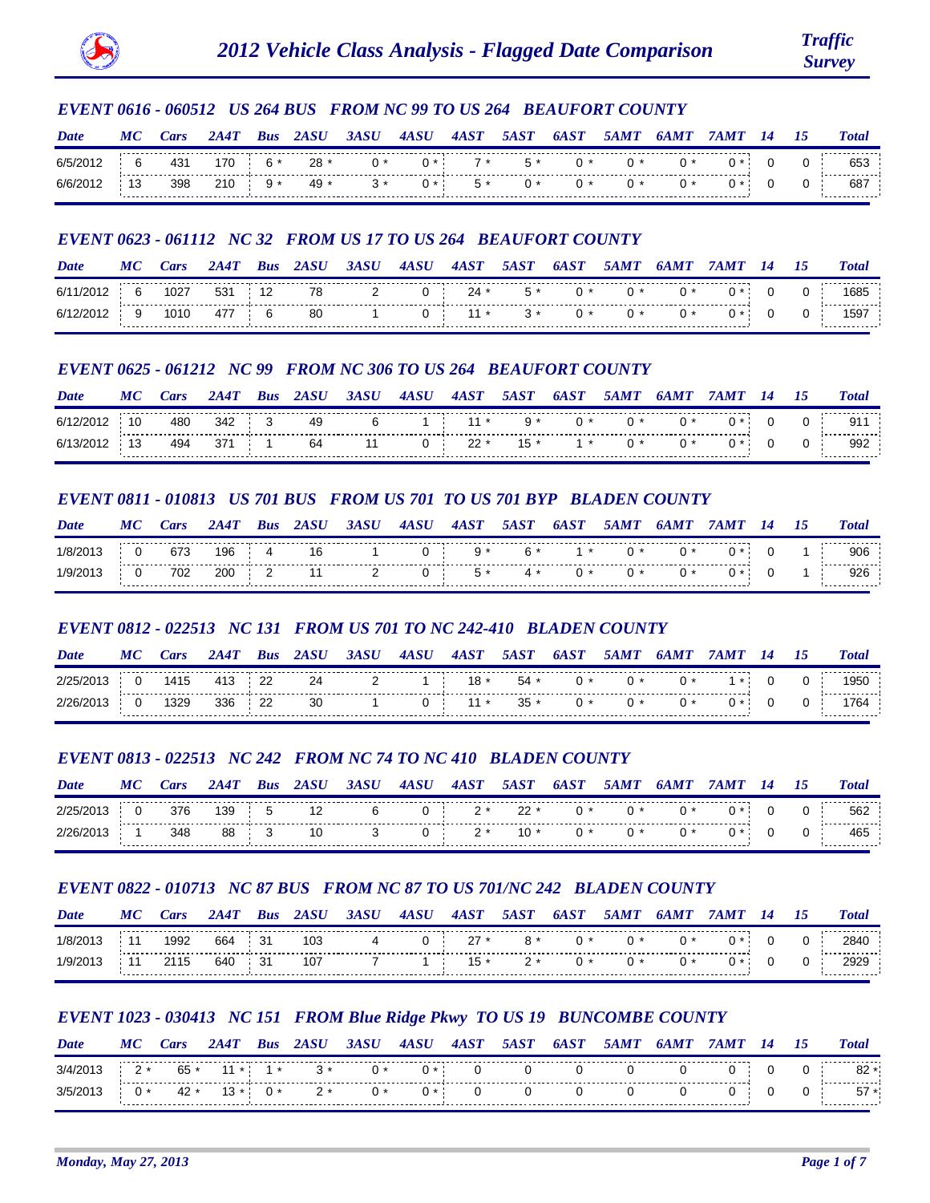

## *EVENT 0616 - 060512 US 264 BUS FROM NC 99 TO US 264 BEAUFORT COUNTY*

| Date | M              | <i>cars</i> |           | Bus | 2ASU  | 3ASU | 4ASU | 4AST | <i><b>5AST</b></i> | 6A |  |  | <b>Total</b>     |
|------|----------------|-------------|-----------|-----|-------|------|------|------|--------------------|----|--|--|------------------|
| 6/5  |                | 431         | <b>70</b> |     | $28*$ |      | ጠ *  | 7*   | $5*$               |    |  |  | ຽວວ              |
|      | $\overline{a}$ | 398         | 210       |     | 49 *  |      |      | 5 *  | י ו                |    |  |  | ---------<br>687 |

## *EVENT 0623 - 061112 NC 32 FROM US 17 TO US 264 BEAUFORT COUNTY*

| Date  | $\boldsymbol{M'}$ |      |     | <b>Bus</b> | 74 S L I | 34.SL | <b>4ASU</b> |        |      | hА  | $\mathbf{w}$ |  | <b>Total</b> |
|-------|-------------------|------|-----|------------|----------|-------|-------------|--------|------|-----|--------------|--|--------------|
| 6/11  |                   | 1027 | 531 |            | 78       |       | 0 i         | $24 *$ | 5 *  |     |              |  | 685ء         |
| -6/12 |                   | 1010 | 477 |            | -80      |       |             | $11*$  | $3*$ | ∩ * |              |  | .<br>1597    |

## *EVENT 0625 - 061212 NC 99 FROM NC 306 TO US 264 BEAUFORT COUNTY*

| Date | M | ar: |           | Bus | 24.SH | 3ASU | 4ASU | 4AST    | 54.ST | 6A            |     |      |  | Total    |
|------|---|-----|-----------|-----|-------|------|------|---------|-------|---------------|-----|------|--|----------|
| 6/1  |   | 480 | 342       |     | 49    |      |      | $1:11*$ | 9 *   | $\sim$ 0 $^*$ | ∩ * | $0*$ |  |          |
| 6/   |   | 494 | $104$ 371 |     | 64    |      |      | $22 *$  | $15*$ | $1*$          |     | ∩ *  |  | .<br>992 |

## *EVENT 0811 - 010813 US 701 BUS FROM US 701 TO US 701 BYP BLADEN COUNTY*

| Date | M | ars: | <b>2A4T</b> | Bus | 2ASU | 3ASU | <b>4ASU</b> | 4AST | 5AST | 6A S T       | 5AMT | <b>6AM1</b> |  | <b>Total</b>        |
|------|---|------|-------------|-----|------|------|-------------|------|------|--------------|------|-------------|--|---------------------|
|      |   | 673  | 196         |     | 16   |      | ັ           | y *  |      | $\star$      |      |             |  | 906                 |
|      |   | 702  | 200         |     | 11   |      | ັ           | $5*$ | 4 *  | $\mathbf{u}$ |      |             |  | ------------<br>926 |

# *EVENT 0812 - 022513 NC 131 FROM US 701 TO NC 242-410 BLADEN COUNTY*

| <b>Date</b> | MC | <i>ars</i> | 2A 47 | Bus |    | 3ASU | 4ASU | 4AST   | <i><b>5AST</b></i> | 6A S 7 | 5 <i>AM</i> 7 |      |     |  | <b>Total</b> |
|-------------|----|------------|-------|-----|----|------|------|--------|--------------------|--------|---------------|------|-----|--|--------------|
| 2/25/21     |    | 1415       |       | 22  | 24 |      |      | $18 *$ | $54 *$             |        |               | 0 *  |     |  | 1950         |
| 2/26/2013   |    | 1329       | 336   | 22  | 30 |      |      | $11*$  | $35 *$             | ∩ ∗    | ∩ ∗           | $0*$ | ገ ∗ |  | 1764         |

### *EVENT 0813 - 022513 NC 242 FROM NC 74 TO NC 410 BLADEN COUNTY*

| Date     | M | ars: |     | Bus | 24.SH | 3ASU | <b>4ASU</b> | 4AST | <b>54.S7</b> | 6A | <i><b>5AMT</b></i> |  |  | <b>Total</b> |
|----------|---|------|-----|-----|-------|------|-------------|------|--------------|----|--------------------|--|--|--------------|
| 2/25     |   | 376  | 39، |     |       |      | ັ           | ົ    | つつ           |    |                    |  |  | 562          |
| 2/26/201 |   | 348  | 88  |     | 10    |      |             | ົ    | 10 *         |    |                    |  |  | 465          |

# *EVENT 0822 - 010713 NC 87 BUS FROM NC 87 TO US 701/NC 242 BLADEN COUNTY*

| Date  | MC | ars  | 2A4T | Bus |     | 3ASU | 4ASU | 4AST   | 5A.S7 | 6A | 54 M T |    |  | <b>Total</b> |
|-------|----|------|------|-----|-----|------|------|--------|-------|----|--------|----|--|--------------|
| 1/8/2 |    | 1992 | 664  | 31  | 103 |      |      | $27 *$ | 8 *   |    |        | ∩∗ |  | 2840         |
|       |    | ი 15 | 640  |     | 107 |      |      | $15*$  |       |    |        |    |  | חממ<br>∠স∠২  |

# *EVENT 1023 - 030413 NC 151 FROM Blue Ridge Pkwy TO US 19 BUNCOMBE COUNTY*

| Date  | MС | ars    | 2A4T      | <b>Bus</b> | 2 <i>ASU</i> | 3ASU | 4ASU  | 4AST | <i>5AST</i> | 6A.ST | <i><b>5AMT</b></i> |  |  | <b>Total</b> |
|-------|----|--------|-----------|------------|--------------|------|-------|------|-------------|-------|--------------------|--|--|--------------|
| 3/4/2 |    | 65 *   | $11*1*$   |            | $3*$         |      |       | 0    |             |       |                    |  |  | 82           |
| 3/5/2 |    | $42 *$ | $13 * 0*$ |            | $2*$         |      | $0 *$ | 0.   |             |       |                    |  |  | 5/           |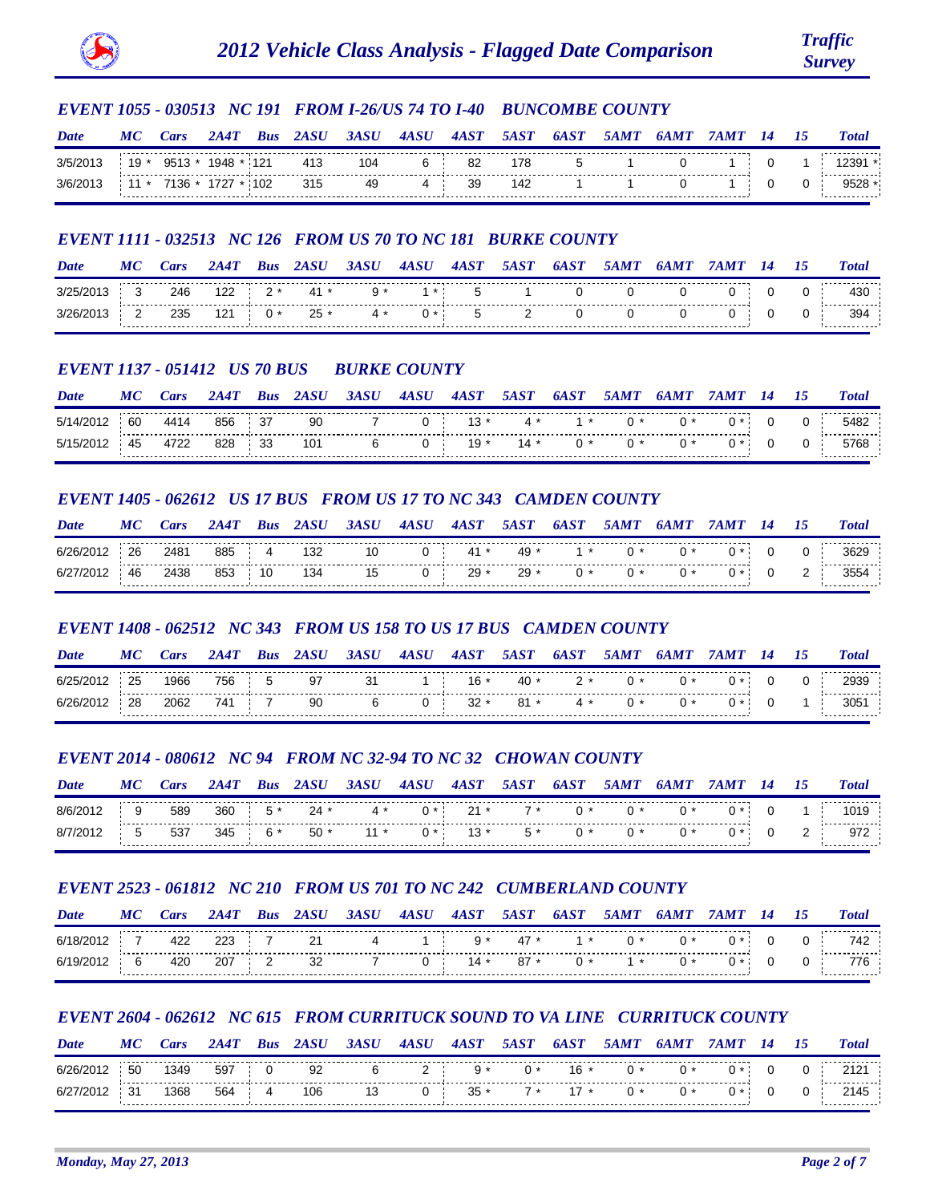

### *EVENT 1055 - 030513 NC 191 FROM I-26/US 74 TO I-40 BUNCOMBE COUNTY*

| Date   | M    | ars:   | 2AA    | <b>Bus</b> | 24.SH | 3 <i>ASI</i> | 4ASU | 4AST | <i><b>5AST</b></i> | 6A.ST | <i><b>5AMT</b></i> | 64 M T |  | <b>Total</b> |
|--------|------|--------|--------|------------|-------|--------------|------|------|--------------------|-------|--------------------|--------|--|--------------|
|        | 19   | Q513 * | 1948 * |            | 413   | 104          |      | 82   | 178                |       |                    |        |  | 2391         |
| 3/6/21 | 11 * | 7136 * | 1727 * | 102        | 315   | 49           |      | 39   | 142                |       |                    |        |  |              |

### *EVENT 1111 - 032513 NC 126 FROM US 70 TO NC 181 BURKE COUNTY*

| Date | MС | ars: | 2447        | Bus | 2ASU             | 3ASU | 4ASU    | 4A ST | <i><b>5AST</b></i> | 6AST | 5AMT | 6AMT | 74 M T | 14 | 75 | <b>Total</b> |
|------|----|------|-------------|-----|------------------|------|---------|-------|--------------------|------|------|------|--------|----|----|--------------|
|      |    | 246  |             |     | $122 \t2 * 41 *$ |      | $1 * 1$ | - 5   |                    |      |      |      |        |    |    | 430          |
|      |    | 235  | $121 \t 0*$ |     | $25 *$           | 4 *  | $0 *$   |       |                    |      |      |      |        |    |    | 394          |

#### *EVENT 1137 - 051412 US 70 BUS BURKE COUNTY*

| Date  | MС | Cars | 2A4T   | <b>Bus</b> | 2 <i>ASU</i> | 3ASU | 4ASU | 4AST           | <i><b>5AST</b></i> | 6A ST | 5AMT         | 6AMT |  | <b>Total</b> |
|-------|----|------|--------|------------|--------------|------|------|----------------|--------------------|-------|--------------|------|--|--------------|
| 5/14/ | 60 | 4414 | 856 37 |            | 90           |      |      | $\sim$ 13 $^*$ | 4 *                | $1*$  | $\mathbf{u}$ | (1)  |  | 5482         |
| 5/15  | 45 | 4722 | 828    | - 33       | 101          |      |      |                | $19*$ 14 $*$ 0 $*$ |       |              |      |  |              |

#### *EVENT 1405 - 062612 US 17 BUS FROM US 17 TO NC 343 CAMDEN COUNTY*

| <b>Date</b> | MС | Cars | 2A4T   | <b>Bus</b> | <i>2ASU</i> | 3ASU | 4ASU | 4AST | <i><b>5AST</b></i> | 6AST            | <i>5AMT</i> | 6AMT | 7 A M T | 75 | <b>Total</b> |
|-------------|----|------|--------|------------|-------------|------|------|------|--------------------|-----------------|-------------|------|---------|----|--------------|
| 6/26/2012   | 26 | 2481 |        |            | 885 4 132   | 10   |      |      |                    | 0 41 * 49 * 1 * |             | 0 *  |         |    | 3629         |
| 6/27/2012   | 46 | 2438 | 853 10 |            | 134         | 15   |      |      | 0 $29 * 29 *$      | $0*$            |             | 0 *  |         |    | 3554         |

### *EVENT 1408 - 062512 NC 343 FROM US 158 TO US 17 BUS CAMDEN COUNTY*

| Date  | MC | <i>ars</i> | 2A4T | Bus |    | 3ASU | 4ASU | 4AST   | <i><b>5AST</b></i> | <b>6AST</b> | 5 <i>AM</i> 7 |  |  | <b>Total</b>        |
|-------|----|------------|------|-----|----|------|------|--------|--------------------|-------------|---------------|--|--|---------------------|
| 6/25/ | 25 | 1966       | 756  |     | 97 | 31   |      | $16*$  | 40<br>$\star$      |             |               |  |  | ∠ອວະ                |
|       | 28 | 2062       | 741  |     | 90 |      |      | $32 *$ | $R1 *$             | <i>д</i> *  |               |  |  | ------------<br>305 |

### *EVENT 2014 - 080612 NC 94 FROM NC 32-94 TO NC 32 CHOWAN COUNTY*

| Date   | MС | ars | 2A4T        | <b>Bus</b> | 2ASU               | <i><b>3ASU</b></i>    | <b>4A SU</b>           | 4AST | <i><b>5AST</b></i> | 6A ST | <i><b>5AMT</b></i> | 64 MT |  | <b>Total</b> |
|--------|----|-----|-------------|------------|--------------------|-----------------------|------------------------|------|--------------------|-------|--------------------|-------|--|--------------|
| 8/6/2  |    | 589 | $360 \t 5*$ |            | $24 *$             |                       | $4 * 0 * 21 * 7 * 0 *$ |      |                    |       | $\bigcap$ *        | $0^*$ |  |              |
| 8/7/20 | 5  | 537 |             |            | $345$ 6 $*$ 50 $*$ | $11*$ 0* 13* 5* 0* 0* |                        |      |                    |       |                    | $0*$  |  |              |

### *EVENT 2523 - 061812 NC 210 FROM US 701 TO NC 242 CUMBERLAND COUNTY*

| Date      | МC | ars | <i>2A4T</i> | <b>Bus</b> | 2ASU | 3ASU | 4ASU | 4AST    | <i><b>5AST</b></i> | 6A ST         | 5AMT         | 6AM 1 |  | <b>Total</b> |
|-----------|----|-----|-------------|------------|------|------|------|---------|--------------------|---------------|--------------|-------|--|--------------|
| 6/18/2012 |    | 422 | 223         |            | 21   |      |      | $9*$    | 47 *               | $1*$          | $\mathbf{u}$ |       |  | 742          |
| 6/19/2012 |    | 420 | 207         |            | -32  |      |      | 0 $14*$ | 87 *               | $\bigcap$ $*$ | $1*$         |       |  |              |

### *EVENT 2604 - 062612 NC 615 FROM CURRITUCK SOUND TO VA LINE CURRITUCK COUNTY*

| Date | $\boldsymbol{M}$ |      |     | Bus |     | 3ASU | .SH | 4А | 5A.S7 | 6А    |  |  | <b>Total</b> |
|------|------------------|------|-----|-----|-----|------|-----|----|-------|-------|--|--|--------------|
|      | 50               | 1349 | 597 |     | 92  |      | -   |    | $0*$  | $16*$ |  |  | 212          |
|      |                  | 1368 | 564 |     | 106 |      |     | 35 |       |       |  |  |              |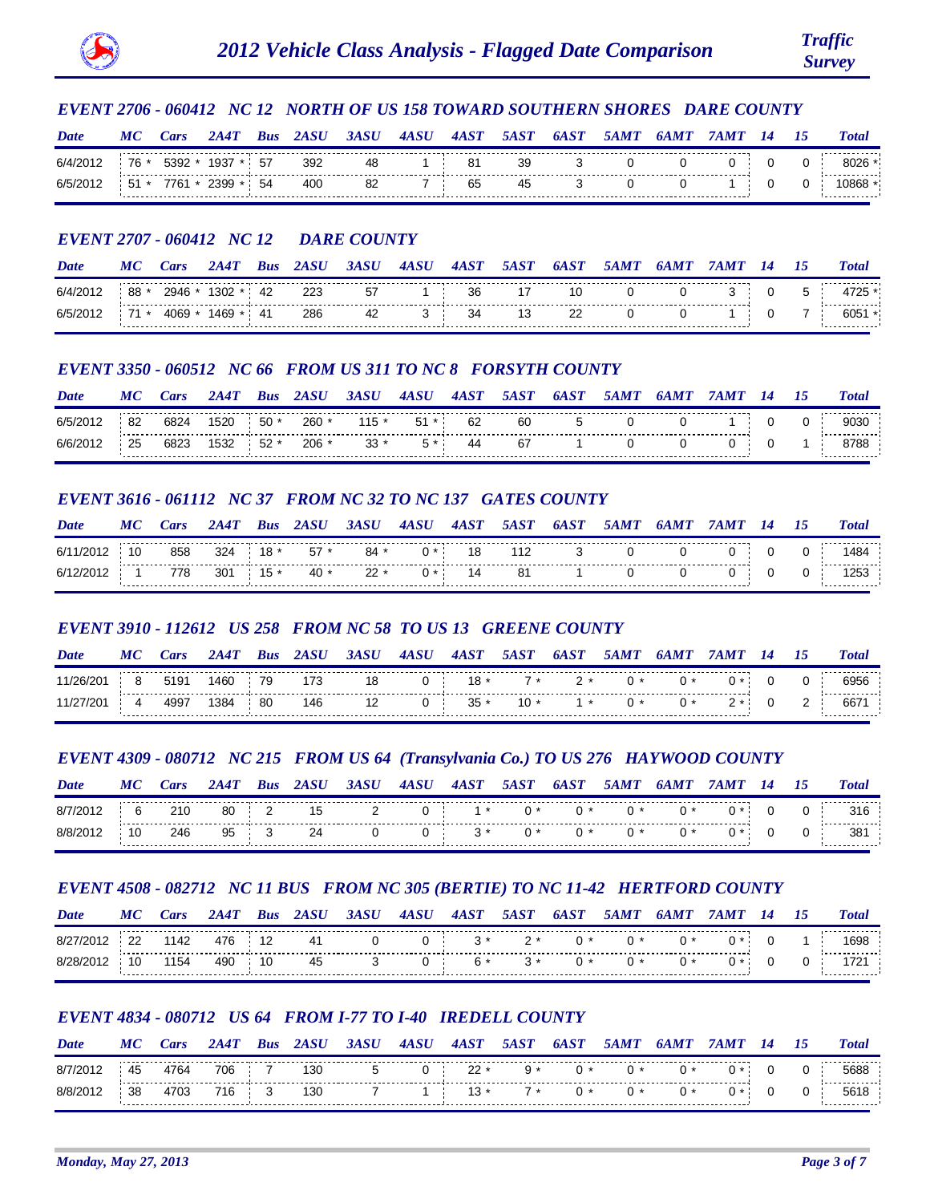

# *EVENT 2706 - 060412 NC 12 NORTH OF US 158 TOWARD SOUTHERN SHORES DARE COUNTY*

| Date     | МC    | Cars   | 244'     | <b>Bus</b> | 2ASU | 3ASU | 4ASU | 4AST | <i><b>5AST</b></i> | 6A S T | 5 <i>AM</i> 7 |  |  | <b>Total</b>         |
|----------|-------|--------|----------|------------|------|------|------|------|--------------------|--------|---------------|--|--|----------------------|
| 6/4/2012 | 76 *  | 5392 * | 1937     | -57        | 392  | 48   |      | 81   | 39                 |        |               |  |  |                      |
| 6/5/201  | $51*$ | 7761 * | $2399$ * | -54        | 400  | 82   |      | 65   | 45                 |        |               |  |  | ------------<br>0868 |

# *EVENT 2707 - 060412 NC 12 DARE COUNTY*

| Date  | М  | ar:  |      | Bus | 2ASU | 3ASU | 4A SU | 4AST | <i><b>5AST</b></i> | 6A S T | $\mathbf{A}MT$ | $\mathbf{M}$ |  | <b>Total</b> |
|-------|----|------|------|-----|------|------|-------|------|--------------------|--------|----------------|--------------|--|--------------|
| 6/4/2 | 88 | 2946 | '302 | -42 | 223  | 57   |       | 36   |                    |        |                |              |  |              |
|       |    | 4069 | 469ء | -41 | 286  | -42  |       | -34  | 13                 | --     |                |              |  | .<br>605     |

# *EVENT 3350 - 060512 NC 66 FROM US 311 TO NC 8 FORSYTH COUNTY*

| Date     | МC | <i>cars</i> | 2A 47 | Bus   |     | 3ASU    | 4A SU | 4AST | 5AST | 6A S T | <i><b>5AM7</b></i> | 64M |  | Total          |
|----------|----|-------------|-------|-------|-----|---------|-------|------|------|--------|--------------------|-----|--|----------------|
| 6/5/20   | 82 | 6824        | 1520  | $50*$ | 260 | $115 *$ | 51 *  | 62   | 60   |        |                    |     |  | 9030           |
| 6/6/2012 | 25 | 6823        | 1532  | 52 *  | 206 | $33*$   |       | 44   | 67   |        |                    |     |  | .<br>8788<br>. |

# *EVENT 3616 - 061112 NC 37 FROM NC 32 TO NC 137 GATES COUNTY*

| Date      | МC | <b>Cars</b> | 2A4T       | <b>Bus</b> | 2ASU   | 3ASU   | 4ASU | 4AST | <i>5AST</i> | 6A ST  | 5AMT | 6AMT | 7 A M T | 14 | 75 | <b>Total</b> |
|-----------|----|-------------|------------|------------|--------|--------|------|------|-------------|--------|------|------|---------|----|----|--------------|
| 6/11/2012 |    | 858         | 324        | $18 *$     | $57$ * | $84 *$ |      | 18   | 112         | $\sim$ |      |      |         |    |    | 484          |
| 6/12/2012 |    | 778         | $301$ 15 * |            | 40 *   | $22 *$ |      | 14   | 81          |        |      |      |         |    |    | 253          |

# *EVENT 3910 - 112612 US 258 FROM NC 58 TO US 13 GREENE COUNTY*

| Date        | MC Cars | 2A4T | <b>Bus</b> 2ASU | 3ASU 4ASU 4AST 5AST 6AST 5AMT |  |  | 6AMT | 7AMT 14                                                                    |  | <b>Total</b> |
|-------------|---------|------|-----------------|-------------------------------|--|--|------|----------------------------------------------------------------------------|--|--------------|
|             |         |      |                 |                               |  |  |      | 8 5191 1460   79   173   18   0   18 *   7 *   2 *   0 *   0 *   0   0   0 |  | 6956         |
| 11/27/201 4 |         |      |                 |                               |  |  |      | 4997 1384 80 146 12 0 35 * 10 * 1 * 0 * 0 * 2 * 0 2                        |  | 6671         |

# *EVENT 4309 - 080712 NC 215 FROM US 64 (Transylvania Co.) TO US 276 HAYWOOD COUNTY*

| Date | MC | ars: | 2A4T | <b>Bus</b> | 2ASU | 3ASU | 4ASU | 4AST | <i><b>5AST</b></i> | 6AST  | 5AMT         | 64 M T |  | 15 | <b>Total</b>    |
|------|----|------|------|------------|------|------|------|------|--------------------|-------|--------------|--------|--|----|-----------------|
|      |    | 210  | 80   |            | - 15 | _    |      | $1*$ | $0*$               | _ റ ∗ | $\mathbf{u}$ | $0*$   |  |    | 316             |
|      |    | 246  | 95   |            | 24   |      |      | $3*$ | ∩ *                | ጠ *   |              |        |  |    | 38 <sup>1</sup> |

# *EVENT 4508 - 082712 NC 11 BUS FROM NC 305 (BERTIE) TO NC 11-42 HERTFORD COUNTY*

| Date  | МC | ars: | 2A4T   | Bus | 2ASU | 3ASU | 4ASU                                  | 4AST | <i><b>5AST</b></i> | 6A ST | 5AM I             | . MT |         |  | <b>Total</b> |
|-------|----|------|--------|-----|------|------|---------------------------------------|------|--------------------|-------|-------------------|------|---------|--|--------------|
| R/27  | 22 | 1142 | 476    | 12  | 41   |      | <b>U</b> +                            | $3*$ | $2*$               | $0*$  | $\bigcap$ $\star$ | 0 *  |         |  | 1698         |
| 8/28/ | 10 | 1154 | 490 10 |     | 45   |      | $\mathbf{U}$ is a set of $\mathbf{U}$ | 6 *  | $3* 0*$            |       | $\bigcap$ $*$     | $0*$ | $0 * 1$ |  |              |

# *EVENT 4834 - 080712 US 64 FROM I-77 TO I-40 IREDELL COUNTY*

| Date     | M  | ars  | 2A 47 | <b>Bus</b> | 24.SH | 3ASU | 4ASU | 4AST      | <b>54.ST</b> | 64.ST       | <i>5AMT</i>  | 64 M T |  | <b>Total</b>        |
|----------|----|------|-------|------------|-------|------|------|-----------|--------------|-------------|--------------|--------|--|---------------------|
| 8/7/2012 | 45 | 4764 | 706 7 |            | 130   |      |      | 0 $22 *$  | $9*$         | $\bigcap$ * | $\mathbf{u}$ |        |  | 5688                |
| 8/8/2012 | 38 | 4703 | 716 3 |            | 130   |      |      | $1 \t13*$ | $7 * 0 *$    |             | ∩ *          |        |  | -----------<br>5618 |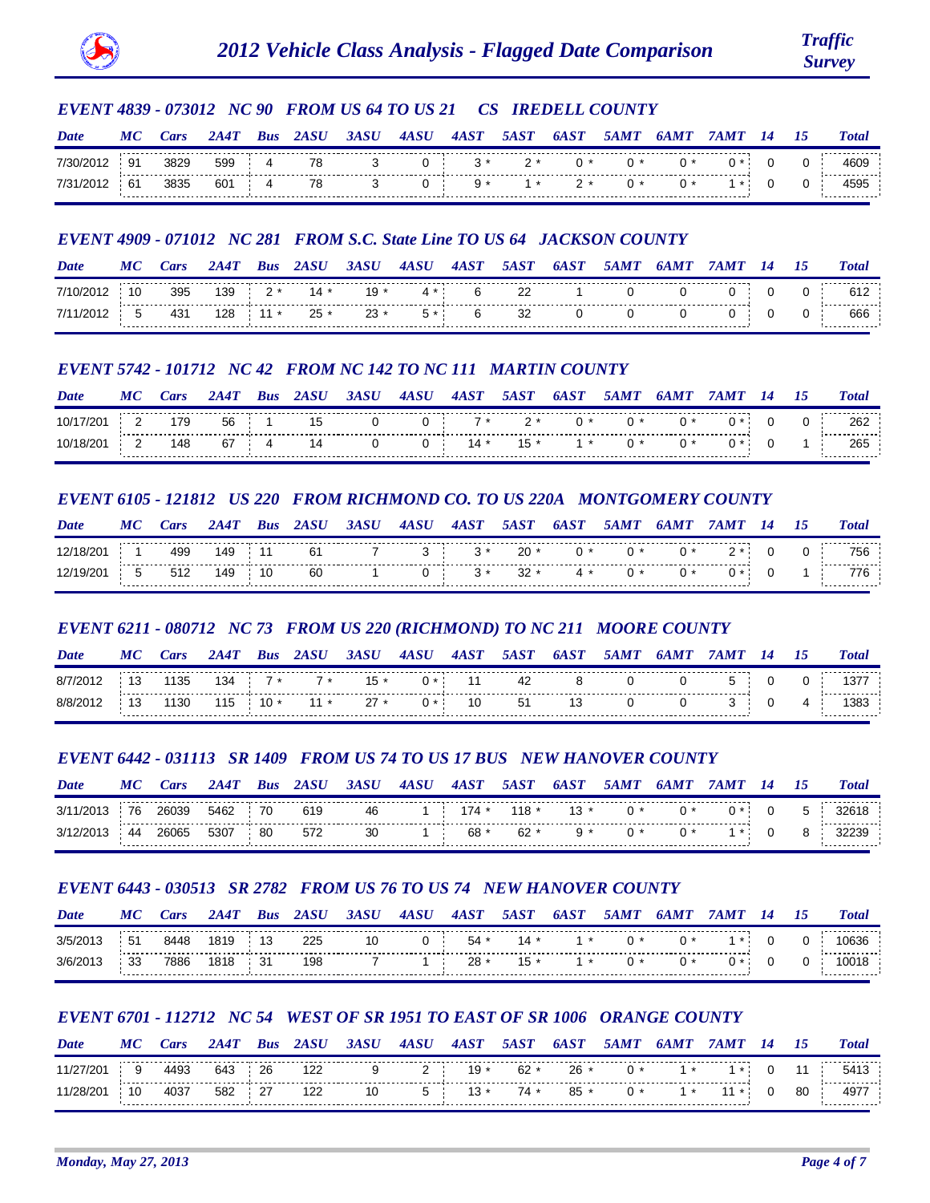

# *EVENT 4839 - 073012 NC 90 FROM US 64 TO US 21 CS IREDELL COUNTY*

| Date      |    | ars: |     | Bus | 24.SH | 3ASU | 4ASU       | 4AST  | <i><b>5AST</b></i> | 6A   |  |  | <b>Total</b>       |
|-----------|----|------|-----|-----|-------|------|------------|-------|--------------------|------|--|--|--------------------|
| 7/30/2012 | 91 | 3829 | 599 |     | 78    |      | <u>U -</u> | $3*$  | ッ*                 |      |  |  |                    |
| 7/31/2012 | 61 | 3835 | 601 |     | 78    |      |            | $9 *$ | $1 *$              | - 2* |  |  | ----------<br>40Y. |

# *EVENT 4909 - 071012 NC 281 FROM S.C. State Line TO US 64 JACKSON COUNTY*

| Date   | М  | <i>ars</i> | 7AA' | Bus        | 2ASU   | 3ASU   | 4ASU | 4AST     | <i><b>5AST</b></i> | 6A S T | <i><b>5AMT</b></i> | 64 M T | 14 | <b>Total</b> |
|--------|----|------------|------|------------|--------|--------|------|----------|--------------------|--------|--------------------|--------|----|--------------|
| 7/10/2 | 10 | 395        | 139  | $2*$       | $14*$  | 19 *   | 4 *  | <b>6</b> | 22                 |        |                    |        |    |              |
|        |    | 431        |      | $128$ 11 * | $25 *$ | $23 *$ | 5 *  | <b>6</b> | 32                 |        |                    |        |    | 666          |

# *EVENT 5742 - 101712 NC 42 FROM NC 142 TO NC 111 MARTIN COUNTY*

| Date | МC | Ars | 2A4T | <b>Bus</b> | 2ASU | 3ASU | 4A S U | 4AST  | <i><b>5AST</b></i> | <b>6AST</b> | 5AMT | 6 <i>AM</i> 1 | <i>M'I</i> |  | <b>Total</b> |
|------|----|-----|------|------------|------|------|--------|-------|--------------------|-------------|------|---------------|------------|--|--------------|
|      |    | 179 | 56   |            | 15   |      |        | $7 *$ | $2*$               |             |      |               |            |  | 262          |
|      |    | 148 | 67   |            | 14   |      |        | $14*$ | $15*$              |             |      |               |            |  | .<br>265     |

## *EVENT 6105 - 121812 US 220 FROM RICHMOND CO. TO US 220A MONTGOMERY COUNTY*

| Date      | M                    | ars: | 2A 47 | Bus | 2ASU | 3ASU | 4ASU | 4AST | <i>5AST</i> | 6AST | <i><b>5AMT</b></i> | 6AM7 | ' A M'I | 14 | 15 | <b>Total</b> |
|-----------|----------------------|------|-------|-----|------|------|------|------|-------------|------|--------------------|------|---------|----|----|--------------|
| 12/18/201 |                      | 499  | 149   |     | 61   |      | ັ    | $3*$ | $20 *$      |      |                    |      |         |    |    | 756          |
| 12/19/201 | $\ddot{\phantom{1}}$ | 512  | 149   | 10  | -60  |      |      |      | $3 * 32 *$  | 4 *  |                    | ∩ *  |         |    |    |              |

# *EVENT 6211 - 080712 NC 73 FROM US 220 (RICHMOND) TO NC 211 MOORE COUNTY*

| Date  | MС | ars |             | <b>Bus</b> | 2ASU  | 3ASU   | 4ASU | 4AST | <i><b>5AST</b></i> | <b>6AST</b> | 5AMT | 64 M T |  |   | <b>Total</b> |
|-------|----|-----|-------------|------------|-------|--------|------|------|--------------------|-------------|------|--------|--|---|--------------|
| 8/7/2 |    | 135 | $134$ 7 $*$ |            | $7*$  | $15 *$ |      | . 11 | 42                 |             |      |        |  |   | 137          |
| 8/8/2 |    | 130 | 115         | $10*$      | $11*$ | $27 *$ | $0*$ | 10   | 51                 | 13.         |      |        |  | 4 | 1383         |

# *EVENT 6442 - 031113 SR 1409 FROM US 74 TO US 17 BUS NEW HANOVER COUNTY*

| Date   | $\boldsymbol{M}$ | ars   |      | Bus | 24 S <i>II</i> | 3A SI) | <b>4ASU</b> | 4AST | 5AST | 6A S T | 5AM 1 | MI 1 |  | <b>Total</b> |
|--------|------------------|-------|------|-----|----------------|--------|-------------|------|------|--------|-------|------|--|--------------|
| 3/11/2 | 76               | 26039 | 5462 | 70  | 619            | 46     |             | 174  |      | 13 *   |       |      |  |              |
|        | 44               | 26065 | 5307 | 80  | 572            | 30     |             | 68 * | 62   |        |       |      |  | .            |

# *EVENT 6443 - 030513 SR 2782 FROM US 76 TO US 74 NEW HANOVER COUNTY*

| Date   | MС  | ars: | 2A4T | <b>Bus</b> | 2ASU | 3ASU | 4ASU | 4AST     | <i><b>5AST</b></i> | 6AST  | 5AMT  | 6 <i>AMT</i> | 14 | <i>15</i> | <b>Total</b> |
|--------|-----|------|------|------------|------|------|------|----------|--------------------|-------|-------|--------------|----|-----------|--------------|
| 3/5/20 | -51 | 8448 | 1819 | 13         | 225  | 10   |      | 0 $54*$  | 14 *               | $1*$  | – ∩ * | ∩ *          |    |           |              |
| 3/6/2  | 33  | 7886 | 1818 |            | 198  |      |      | 1 $28 *$ | 15 *               | $1 *$ | ∩ ∗   |              |    |           |              |

# *EVENT 6701 - 112712 NC 54 WEST OF SR 1951 TO EAST OF SR 1006 ORANGE COUNTY*

| Date      | МC | <i>ars</i> | 2A 47  | Bus | 2ASU | 3ASU | 4ASU     | 4AST       | <i><b>5AST</b></i> | 6A ST  | <i><b>5AMT</b></i> | 64 MT | <b>74MT</b>      |    | <b>Total</b> |
|-----------|----|------------|--------|-----|------|------|----------|------------|--------------------|--------|--------------------|-------|------------------|----|--------------|
| 11/27/201 | 9  | 4493       | 643    | 26  | 122  |      | <u>_</u> | $19*$      | 62 *               | $26*$  |                    | 1 *   |                  | 11 | 5413         |
| 11/28/201 | 10 | 4037       | 582 27 |     | 122  | 10   |          | $5 \t 13*$ | $74*$              | $85 *$ | ∩ *                | 1 *   | $\sim$ 11 $^*$ . | 80 | 4977         |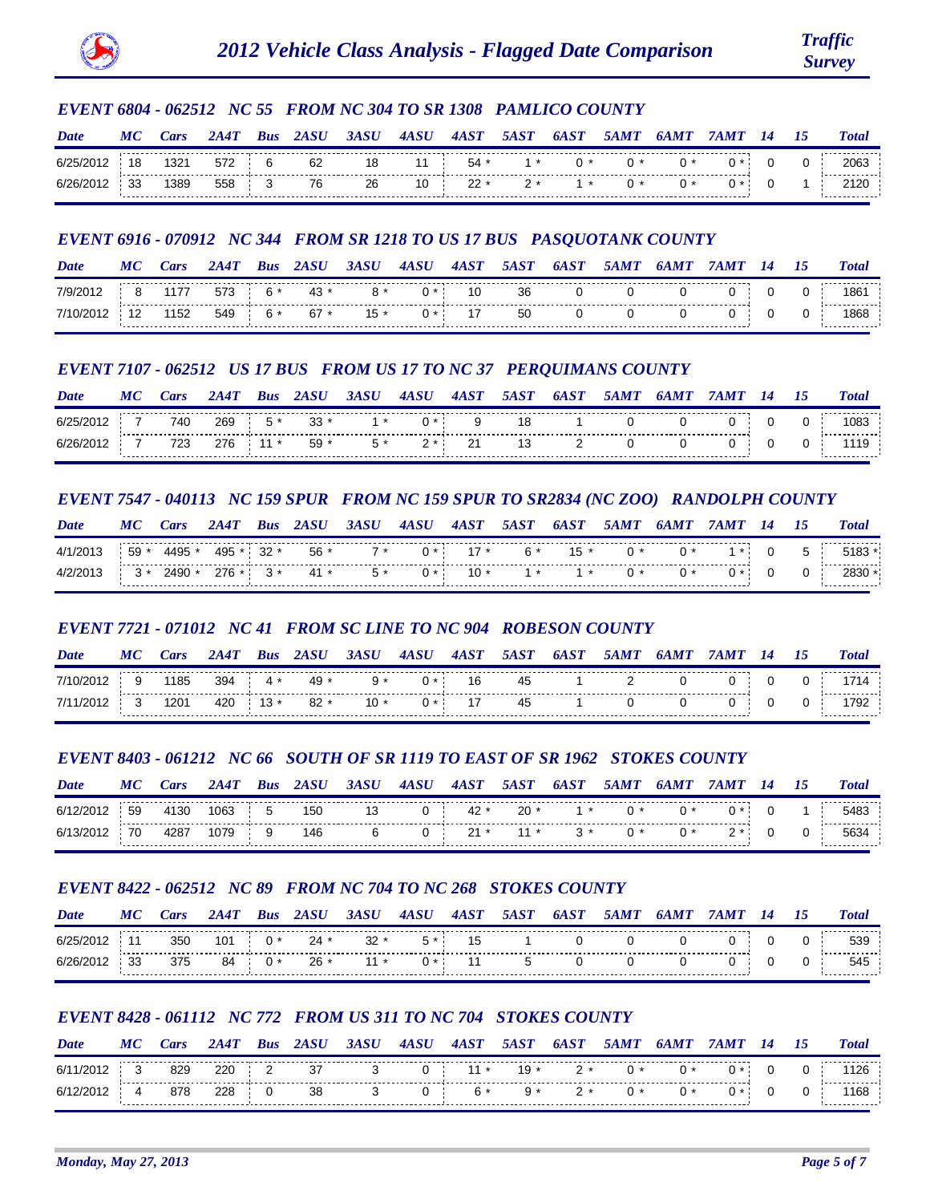

## *EVENT 6804 - 062512 NC 55 FROM NC 304 TO SR 1308 PAMLICO COUNTY*

| Date      | MС | Cars | 2A4T  | <b>Bus</b> | <i><b>ZASU</b></i> | 3ASU | 4ASU | 4AST         | <i><b>5AST</b></i> | 6A ST        | <i><b>5AMT</b></i> | 6 <i>AMT</i> | 7 A M T | 14 | 15    | <b>Total</b> |
|-----------|----|------|-------|------------|--------------------|------|------|--------------|--------------------|--------------|--------------------|--------------|---------|----|-------|--------------|
| 6/25/2012 | 18 | 1321 | 572 6 |            | 62                 | 18   |      | $11 \t 54$ * | $1*$               | $\mathsf{A}$ |                    | $(1 *$       |         |    | $0$ i | 2063         |
| 6/26/2012 | 33 | 1389 | 558 3 |            | 76                 | 26   |      | $10 \t 22$ * | $2*$ 1 *           |              |                    |              |         |    |       |              |

# *EVENT 6916 - 070912 NC 344 FROM SR 1218 TO US 17 BUS PASQUOTANK COUNTY*

| Date      | МC | ar:  |         | Bus | 2ASU   | 3ASU   | 4ASU  | 4AST | <i><b>5AST</b></i> | 6A ST | <i><b>5AMT</b></i> | 6AMT |  | <b>Total</b> |
|-----------|----|------|---------|-----|--------|--------|-------|------|--------------------|-------|--------------------|------|--|--------------|
| 7/9/2012  |    | 1177 | 573 6 * |     | 43 *   | $R^*$  |       | 10   | 36                 |       |                    |      |  | 186'         |
| 7/10/2012 |    | 1152 | 549 6*  |     | $67 *$ | $15 *$ | 0 * : | 17   | 50                 |       |                    |      |  | .<br>1868    |

# *EVENT 7107 - 062512 US 17 BUS FROM US 17 TO NC 37 PERQUIMANS COUNTY*

| Date  | МC | ars | 2A4T | Bus     | 2ASU  | 3ASU | 4ASU | 4AST           | 5A S T | <b>6AST</b> | <b>5AMT</b> | 6 <i>AM</i> |  | <b>Total</b> |
|-------|----|-----|------|---------|-------|------|------|----------------|--------|-------------|-------------|-------------|--|--------------|
| 6/25  |    | 740 | 269  |         | $33*$ |      |      |                |        |             |             |             |  | 1083         |
| 6/26/ |    | 723 | 276  | $\star$ | 59 *  |      | -    | 21<br><u>_</u> |        |             |             |             |  | .            |

# *EVENT 7547 - 040113 NC 159 SPUR FROM NC 159 SPUR TO SR2834 (NC ZOO) RANDOLPH COUNTY*

| Date | MC    | ars        | 2A4T    | <b>Bus</b> | 2ASU | 3ASU | 4ASU | 4AST  | <i><b>5AST</b></i> | 6AST   | <i><b>5AMT</b></i> | 6AMT | 7 A M T | 14 | 75 | <b>Total</b> |
|------|-------|------------|---------|------------|------|------|------|-------|--------------------|--------|--------------------|------|---------|----|----|--------------|
|      | $59*$ | 4495 *     | 495 *   | $32$ *     | 56 * | $7*$ |      |       | 6 *                | $15 *$ |                    |      |         |    | 5  |              |
|      |       | $2490$ $*$ | $276$ * |            | 41 * | 5 *  |      | $10*$ | $1 *$              | 1 *    |                    |      |         |    |    |              |

# *EVENT 7721 - 071012 NC 41 FROM SC LINE TO NC 904 ROBESON COUNTY*

| Date      | МC | ars  | <i>2A4T</i> | <b>Bus</b> | 2ASU               | 3ASU | 4ASU | 4AST  | <i><b>5AST</b></i> | 6AST | 5AMT | 6AMT |  | <b>Total</b> |
|-----------|----|------|-------------|------------|--------------------|------|------|-------|--------------------|------|------|------|--|--------------|
| 7/10/2012 | Q  | 1185 |             |            | $394$ 4 $*$ 49 $*$ | $9*$ |      | -- 16 | 45                 |      |      |      |  |              |
| 7/11/2012 |    | 1201 | 420 13 *    |            | $82*$              |      |      |       | 45                 |      |      |      |  |              |

# *EVENT 8403 - 061212 NC 66 SOUTH OF SR 1119 TO EAST OF SR 1962 STOKES COUNTY*

| Date      | МC | ars  |      | Bus | 24 S L | 3ASU | 4ASU | 4AST     | 54.S7 | 6A S T | 54 M T |  |  | <b>Total</b>        |
|-----------|----|------|------|-----|--------|------|------|----------|-------|--------|--------|--|--|---------------------|
| 6/12/2012 | 59 | 4130 | 1063 |     | 150    |      | u    | $42 *$   | 20    |        |        |  |  | 5483                |
| 6/13/201  | 70 | 4287 | 1079 |     | 146    |      |      | <u>.</u> |       |        |        |  |  | -----------<br>5634 |

# *EVENT 8422 - 062512 NC 89 FROM NC 704 TO NC 268 STOKES COUNTY*

| Date  | M | ars | 2A4T | <b>Bus</b> | 2ASU   | 3ASU | 4ASU | 4AST | <i><b>5AST</b></i>   | 6AST | <i><b>5AMT</b></i> | 6A M T |  | <b>Total</b> |
|-------|---|-----|------|------------|--------|------|------|------|----------------------|------|--------------------|--------|--|--------------|
| 6/25/ |   | 350 | 101  | $0*$       | $24 *$ | 32 * | 5 *  | 15   |                      |      |                    |        |  | 539          |
|       |   | 375 | 84   | ∩ *        | 26 *   | 11 * |      |      | $\ddot{\phantom{1}}$ |      |                    |        |  | 545          |

# *EVENT 8428 - 061112 NC 772 FROM US 311 TO NC 704 STOKES COUNTY*

| Date      | МC | ars | 2A 47    | Bus | 2 <i>ASH</i> | 3ASU | 4ASU | 4AST                 | <i><b>54.ST</b></i> | 6A ST   | <i><b>5AMT</b></i> |      |     |  | <b>Total</b>         |
|-----------|----|-----|----------|-----|--------------|------|------|----------------------|---------------------|---------|--------------------|------|-----|--|----------------------|
| 6/11/2012 |    | 829 | 220 2 37 |     |              |      |      | 0 $11*$ 19 $*$ 2 $*$ |                     |         | ∩ *                | $0*$ | ∩ * |  | 126                  |
| 6/12/2012 |    | 878 | 228 0    |     | - 38         |      | O :  | 6*                   |                     | $9* 2*$ |                    | 0 *  |     |  | -------------<br>168 |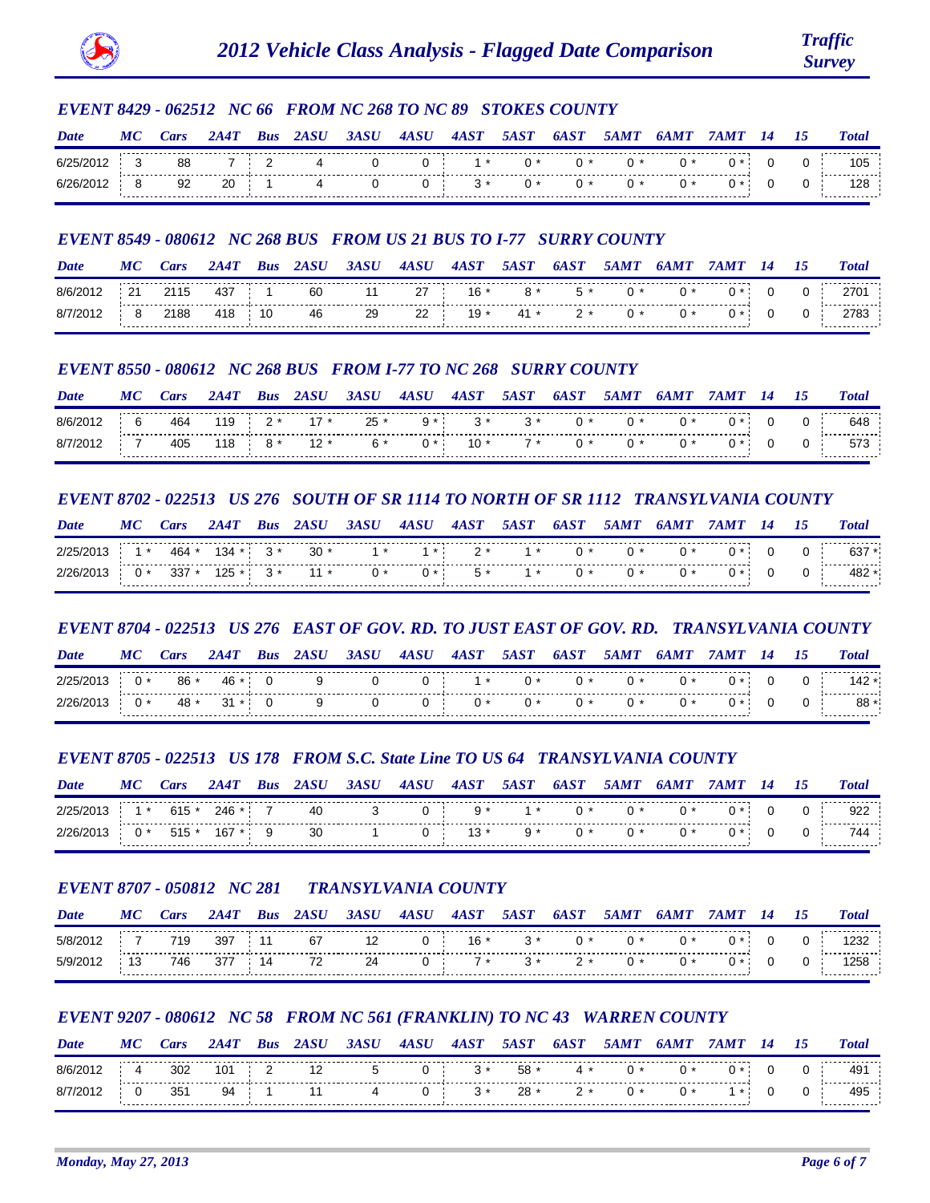

## *EVENT 8429 - 062512 NC 66 FROM NC 268 TO NC 89 STOKES COUNTY*

| Date | MC | Lars | 2A4T | <b>Bus</b> | 2ASU | 3ASU | 4ASU | 4AST | <i><b>5AST</b></i> | 6AST | <i><b>5AMT</b></i> | M'I |  | <b>Total</b> |
|------|----|------|------|------------|------|------|------|------|--------------------|------|--------------------|-----|--|--------------|
| 6/2  |    | 88   |      |            |      |      |      |      |                    |      |                    |     |  | 105          |
|      |    | 92   | 20   |            |      |      | U    |      |                    |      |                    |     |  | 128          |

## *EVENT 8549 - 080612 NC 268 BUS FROM US 21 BUS TO I-77 SURRY COUNTY*

| Date  |                |      |     | - Bus |    | 3ASU | 4ASU | 4AS 1 |      |      | 5AM 1 |  |  | <b>Total</b> |
|-------|----------------|------|-----|-------|----|------|------|-------|------|------|-------|--|--|--------------|
| R/R/2 | 2 <sup>1</sup> | 2115 | 437 |       | 60 |      | 27   | $16*$ | 8 *  | 5 *  |       |  |  |              |
|       | .              | 2188 | 418 | 10    | 46 | 29   | 22   | $19*$ | 41 * | $2*$ |       |  |  | .            |

## *EVENT 8550 - 080612 NC 268 BUS FROM I-77 TO NC 268 SURRY COUNTY*

| Date  | МC | ars | 2A4T | Bus | 2ASU   | 3ASU   | 4ASU         | 4A S T | 5A S T | <b>6AST</b> | <i><b>5AM7</b></i> | 6 <i>AM</i> |  | <b>Total</b> |
|-------|----|-----|------|-----|--------|--------|--------------|--------|--------|-------------|--------------------|-------------|--|--------------|
| R/6/2 |    | 464 | 119  |     | $17*$  | $25 *$ | $\alpha$ $*$ |        |        |             |                    |             |  | 648          |
| 8/7   |    | 405 | 118  |     | $12 *$ |        |              |        |        |             |                    |             |  | .<br>573     |

## *EVENT 8702 - 022513 US 276 SOUTH OF SR 1114 TO NORTH OF SR 1112 TRANSYLVANIA COUNTY*

| Date  | МC  | Lars    | 2A4T    | <b>Bus</b> | 2ASU  | 3ASU | 4ASU | 4AST | <i><b>5AST</b></i> | 6AST | <i><b>5AMT</b></i> | 'A M'I | 14 | <b>Total</b>           |
|-------|-----|---------|---------|------------|-------|------|------|------|--------------------|------|--------------------|--------|----|------------------------|
|       | 1 * | 464 *   | $134 *$ | $3*$       | $30*$ | 1 *  | 1 *  | つ *  | $1*$               |      |                    |        |    | $637 *$                |
| 2/26/ |     | $337 *$ | $125$ * | $3*$       | $11*$ | $0*$ | $0*$ | $5*$ | $1*$               | በ *  | ጠ *                |        |    | _____________<br>482 * |

### *EVENT 8704 - 022513 US 276 EAST OF GOV. RD. TO JUST EAST OF GOV. RD. TRANSYLVANIA COUNTY*

| Date | МC | <i>ars</i> | 2A41 | <b>Bus</b> | 3ASU | 4ASU | 4A S 1 | <i><b>5AST</b></i> | 6A S T | 54 M T |  |   | <b>Total</b>             |
|------|----|------------|------|------------|------|------|--------|--------------------|--------|--------|--|---|--------------------------|
|      |    | -86        | -46  |            |      |      |        |                    |        |        |  | ັ | 142                      |
|      |    | -48        | 31   |            |      |      |        |                    |        |        |  |   | -------------<br>88<br>. |

# *EVENT 8705 - 022513 US 178 FROM S.C. State Line TO US 64 TRANSYLVANIA COUNTY*

| Date                                   | Cars | 2A47 | <b>Bus</b> | - 2 <i>ASU</i> | 3ASU | 4ASU | <b>4AST</b> | $T=5 A S T = 0$ | 6A.ST | <i><b>5AMT</b></i> | 6AMT | 7AMT 14                              |  | <b>Total</b> |
|----------------------------------------|------|------|------------|----------------|------|------|-------------|-----------------|-------|--------------------|------|--------------------------------------|--|--------------|
| $2/25/2013$ 1 * 615 * 246 * 7 40       |      |      |            |                |      |      |             |                 |       |                    |      | $3$ 0 9* 1* 0* 0* 0* 0* 0 0          |  | 922          |
| $2/26/2013$ 0 $*$ 515 $*$ 167 $*$ 9 30 |      |      |            |                |      |      |             |                 |       |                    |      | $1$ 0 13 * 9 * 0 * 0 * 0 * 0 * 0 0 i |  | 744          |

# *EVENT 8707 - 050812 NC 281 TRANSYLVANIA COUNTY*

| Date   | МC | ars | 2A4T | <b>Bus</b> | <i><b>2ASU</b></i> | 3ASU | 4ASU       | 4AST  | <i><b>5AST</b></i> | 6AST | <i><b>5AMT</b></i> | 6AM I |  | <b>Total</b> |
|--------|----|-----|------|------------|--------------------|------|------------|-------|--------------------|------|--------------------|-------|--|--------------|
| 5/8/20 |    | 719 | 397  | 11         | 67                 |      |            | $16*$ | $3*$               | () * |                    |       |  | 1232         |
| 5/9/2  |    | 746 | 377  | 14         | 72                 |      | <b>U</b> · | $7*$  | 3 *                |      |                    |       |  | 1258         |

# *EVENT 9207 - 080612 NC 58 FROM NC 561 (FRANKLIN) TO NC 43 WARREN COUNTY*

| Date   | МC | ars | 2A4T | Bus |     | 3ASU | 4ASU | 4AST | 5A S 1 | 6A S T | <i><b>5AMT</b></i> |      | 14 | 15 | <b>Total</b> |
|--------|----|-----|------|-----|-----|------|------|------|--------|--------|--------------------|------|----|----|--------------|
| 8/6/20 | 4  | 302 | 101  |     | -12 |      |      | $3*$ | 58 *   | 4 *    |                    | $0*$ |    |    | 491          |
| 8/7/20 |    | 351 | 94   |     |     |      | u    | $3*$ | $28 *$ |        |                    |      |    |    | .<br>495     |